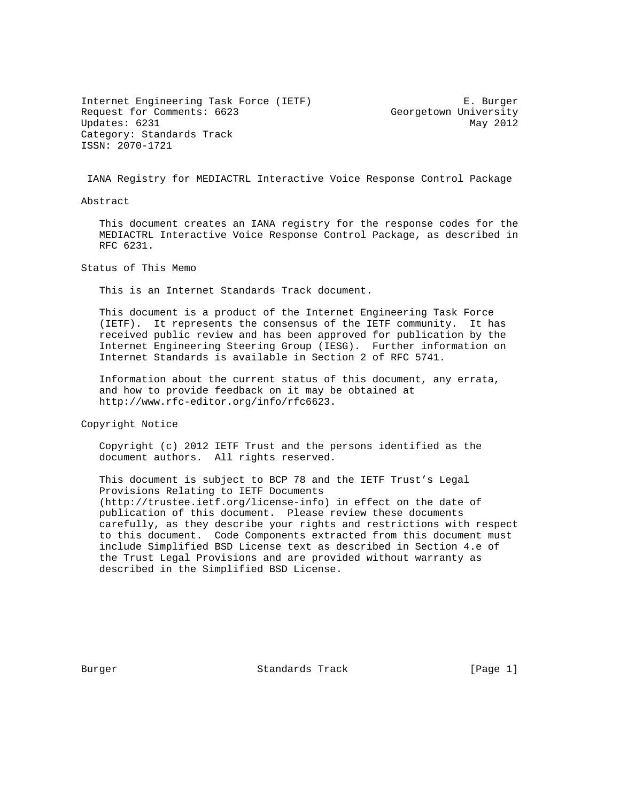Internet Engineering Task Force (IETF) E. Burger Request for Comments: 6623 Georgetown University Updates: 6231 May 2012 Category: Standards Track ISSN: 2070-1721

IANA Registry for MEDIACTRL Interactive Voice Response Control Package

Abstract

 This document creates an IANA registry for the response codes for the MEDIACTRL Interactive Voice Response Control Package, as described in RFC 6231.

Status of This Memo

This is an Internet Standards Track document.

 This document is a product of the Internet Engineering Task Force (IETF). It represents the consensus of the IETF community. It has received public review and has been approved for publication by the Internet Engineering Steering Group (IESG). Further information on Internet Standards is available in Section 2 of RFC 5741.

 Information about the current status of this document, any errata, and how to provide feedback on it may be obtained at http://www.rfc-editor.org/info/rfc6623.

Copyright Notice

 Copyright (c) 2012 IETF Trust and the persons identified as the document authors. All rights reserved.

 This document is subject to BCP 78 and the IETF Trust's Legal Provisions Relating to IETF Documents (http://trustee.ietf.org/license-info) in effect on the date of publication of this document. Please review these documents carefully, as they describe your rights and restrictions with respect to this document. Code Components extracted from this document must include Simplified BSD License text as described in Section 4.e of the Trust Legal Provisions and are provided without warranty as described in the Simplified BSD License.

Burger Standards Track [Page 1]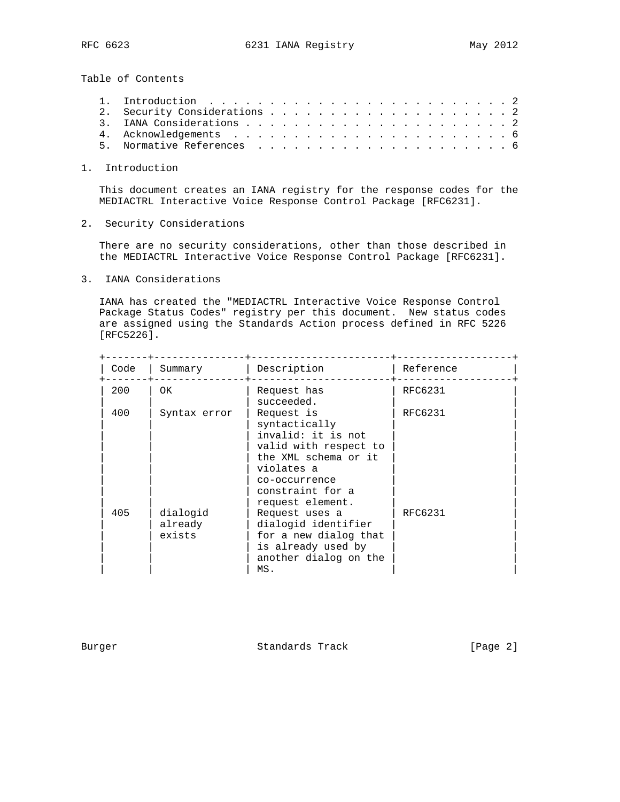Table of Contents

1. Introduction

 This document creates an IANA registry for the response codes for the MEDIACTRL Interactive Voice Response Control Package [RFC6231].

2. Security Considerations

 There are no security considerations, other than those described in the MEDIACTRL Interactive Voice Response Control Package [RFC6231].

3. IANA Considerations

 IANA has created the "MEDIACTRL Interactive Voice Response Control Package Status Codes" registry per this document. New status codes are assigned using the Standards Action process defined in RFC 5226 [RFC5226].

| Code | Summary                       | Description                                                                                                                                           | Reference |
|------|-------------------------------|-------------------------------------------------------------------------------------------------------------------------------------------------------|-----------|
| 200  | OK.                           | Request has<br>succeeded.                                                                                                                             | RFC6231   |
| 400  | Syntax error                  | Request is<br>syntactically<br>invalid: it is not<br>valid with respect to<br>the XML schema or it<br>violates a<br>co-occurrence<br>constraint for a | RFC6231   |
| 405  | dialogid<br>already<br>exists | request element.<br>Request uses a<br>dialogid identifier<br>for a new dialog that<br>is already used by<br>another dialog on the<br>MS.              | RFC6231   |

Burger Standards Track [Page 2]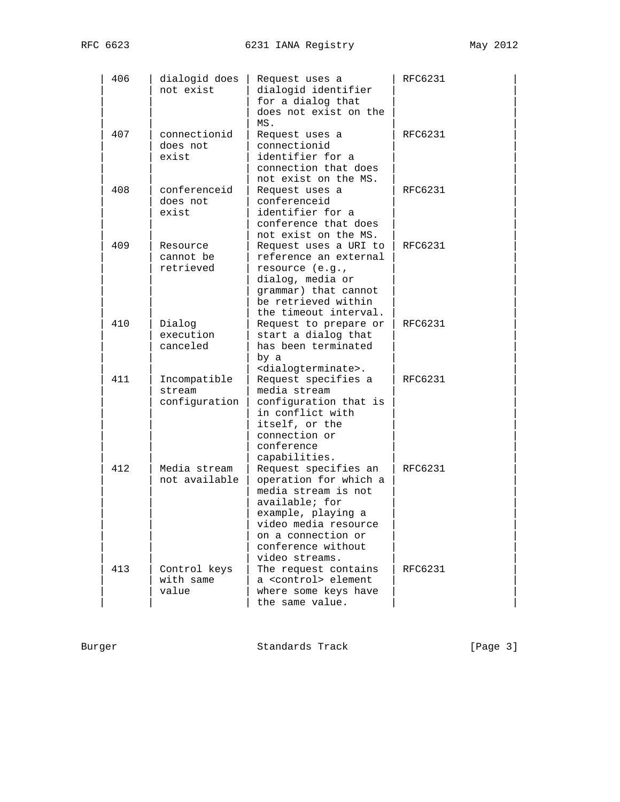| 406 | dialogid does<br>not exist              | Request uses a<br>dialogid identifier<br>for a dialog that<br>does not exist on the<br>MS.                                                                                                         | RFC6231        |
|-----|-----------------------------------------|----------------------------------------------------------------------------------------------------------------------------------------------------------------------------------------------------|----------------|
| 407 | connectionid<br>does not<br>exist       | Request uses a<br>connectionid<br>identifier for a<br>connection that does<br>not exist on the MS.                                                                                                 | <b>RFC6231</b> |
| 408 | conferenceid<br>does not<br>exist       | Request uses a<br>conferenceid<br>identifier for a<br>conference that does<br>not exist on the MS.                                                                                                 | <b>RFC6231</b> |
| 409 | Resource<br>cannot be<br>retrieved      | Request uses a URI to<br>reference an external<br>resource (e.g.,<br>dialog, media or<br>grammar) that cannot<br>be retrieved within<br>the timeout interval.                                      | RFC6231        |
| 410 | Dialog<br>execution<br>canceled         | Request to prepare or<br>start a dialog that<br>has been terminated<br>by a<br><dialogterminate>.</dialogterminate>                                                                                | RFC6231        |
| 411 | Incompatible<br>stream<br>configuration | Request specifies a<br>media stream<br>configuration that is<br>in conflict with<br>itself, or the<br>connection or<br>conference<br>capabilities.                                                 | RFC6231        |
| 412 | Media stream<br>not available           | Request specifies an<br>operation for which a<br>media stream is not<br>available; for<br>example, playing a<br>video media resource<br>on a connection or<br>conference without<br>video streams. | <b>RFC6231</b> |
| 413 | Control keys<br>with same<br>value      | The request contains<br>a <control> element<br/>where some keys have<br/>the same value.</control>                                                                                                 | <b>RFC6231</b> |

Burger Standards Track [Page 3]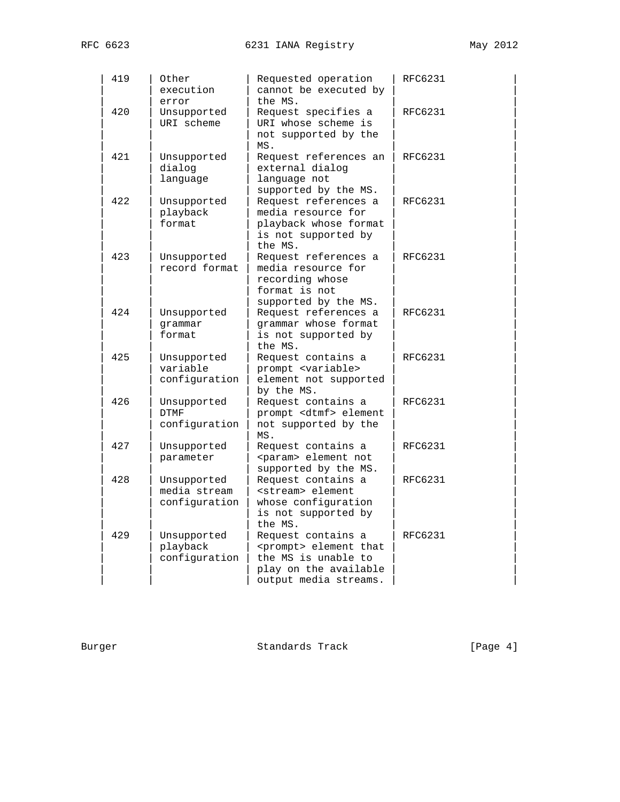| 419 | Other<br>execution                           | Requested operation<br>cannot be executed by<br>the MS.                                                                          | <b>RFC6231</b> |
|-----|----------------------------------------------|----------------------------------------------------------------------------------------------------------------------------------|----------------|
| 420 | error<br>Unsupported<br>URI scheme           | Request specifies a<br>URI whose scheme is<br>not supported by the<br>MS.                                                        | <b>RFC6231</b> |
| 421 | Unsupported<br>dialog<br>language            | Request references an<br>external dialog<br>language not<br>supported by the MS.                                                 | <b>RFC6231</b> |
| 422 | Unsupported<br>playback<br>format            | Request references a<br>media resource for<br>playback whose format<br>is not supported by<br>the MS.                            | <b>RFC6231</b> |
| 423 | Unsupported<br>record format                 | Request references a<br>media resource for<br>recording whose<br>format is not<br>supported by the MS.                           | RFC6231        |
| 424 | Unsupported<br>qrammar<br>format             | Request references a<br>grammar whose format<br>is not supported by<br>the MS.                                                   | <b>RFC6231</b> |
| 425 | Unsupported<br>variable<br>configuration     | Request contains a<br>prompt <variable><br/>element not supported<br/>by the MS.</variable>                                      | RFC6231        |
| 426 | Unsupported<br><b>DTMF</b><br>configuration  | Request contains a<br>prompt <dtmf> element<br/>not supported by the<br/>MS.</dtmf>                                              | RFC6231        |
| 427 | Unsupported<br>parameter                     | Request contains a<br><param/> element not<br>supported by the MS.                                                               | RFC6231        |
| 428 | Unsupported<br>media stream<br>configuration | Request contains a<br><stream> element<br/>whose configuration<br/>is not supported by<br/>the MS.</stream>                      | RFC6231        |
| 429 | Unsupported<br>playback<br>configuration     | Request contains a<br><prompt> element that<br/>the MS is unable to<br/>play on the available<br/>output media streams.</prompt> | <b>RFC6231</b> |

Burger Standards Track [Page 4]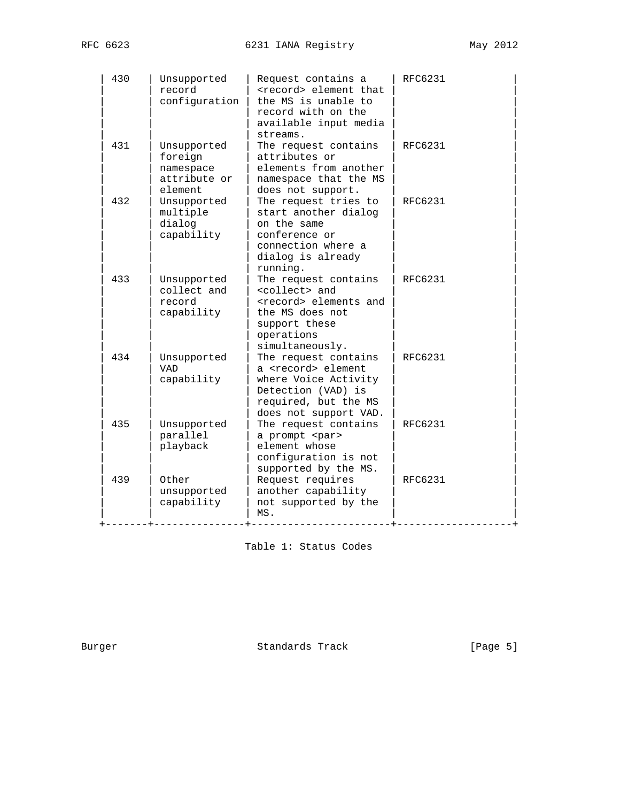| 430 | Unsupported<br>record<br>configuration                         | Request contains a<br><record> element that<br/>the MS is unable to<br/>record with on the<br/>available input media<br/>streams.</record>                  | RFC6231        |
|-----|----------------------------------------------------------------|-------------------------------------------------------------------------------------------------------------------------------------------------------------|----------------|
| 431 | Unsupported<br>foreign<br>namespace<br>attribute or<br>element | The request contains<br>attributes or<br>elements from another<br>namespace that the MS<br>does not support.                                                | RFC6231        |
| 432 | Unsupported<br>multiple<br>dialog<br>capability                | The request tries to<br>start another dialog<br>on the same<br>conference or<br>connection where a<br>dialog is already<br>running.                         | <b>RFC6231</b> |
| 433 | Unsupported<br>collect and<br>record<br>capability             | The request contains<br><collect> and<br/><record> elements and<br/>the MS does not<br/>support these<br/>operations<br/>simultaneously.</record></collect> | <b>RFC6231</b> |
| 434 | Unsupported<br><b>VAD</b><br>capability                        | The request contains<br>a <record> element<br/>where Voice Activity<br/>Detection (VAD) is<br/>required, but the MS<br/>does not support VAD.</record>      | <b>RFC6231</b> |
| 435 | Unsupported<br>parallel<br>playback                            | The request contains<br>a prompt <par><br/>element whose<br/>configuration is not<br/>supported by the MS.</par>                                            | RFC6231        |
| 439 | Other<br>unsupported<br>capability                             | Request requires<br>another capability<br>not supported by the<br>MS.                                                                                       | <b>RFC6231</b> |

Table 1: Status Codes

Burger Standards Track [Page 5]